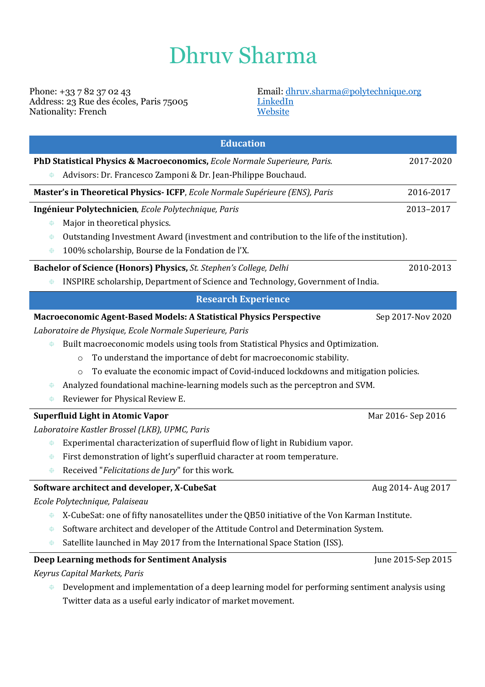## Dhruv Sharma

Phone: +33 7 82 37 02 43 Address: 23 Rue des écoles, Paris 75005 Nationality: French

## Email: dhruv.sharma@polytechnique.org LinkedIn **Website**

| <b>Education</b>                                                                                     |                    |  |  |  |
|------------------------------------------------------------------------------------------------------|--------------------|--|--|--|
| PhD Statistical Physics & Macroeconomics, Ecole Normale Superieure, Paris.                           | 2017-2020          |  |  |  |
| Advisors: Dr. Francesco Zamponi & Dr. Jean-Philippe Bouchaud.<br>⊕                                   |                    |  |  |  |
| Master's in Theoretical Physics- ICFP, Ecole Normale Supérieure (ENS), Paris                         | 2016-2017          |  |  |  |
| Ingénieur Polytechnicien, Ecole Polytechnique, Paris                                                 | 2013-2017          |  |  |  |
| Major in theoretical physics.<br>毋                                                                   |                    |  |  |  |
| Outstanding Investment Award (investment and contribution to the life of the institution).<br>毋      |                    |  |  |  |
| 100% scholarship, Bourse de la Fondation de l'X.<br>⊕                                                |                    |  |  |  |
| Bachelor of Science (Honors) Physics, St. Stephen's College, Delhi                                   | 2010-2013          |  |  |  |
| INSPIRE scholarship, Department of Science and Technology, Government of India.<br>⊕                 |                    |  |  |  |
| <b>Research Experience</b>                                                                           |                    |  |  |  |
| Macroeconomic Agent-Based Models: A Statistical Physics Perspective                                  | Sep 2017-Nov 2020  |  |  |  |
| Laboratoire de Physique, Ecole Normale Superieure, Paris                                             |                    |  |  |  |
| Built macroeconomic models using tools from Statistical Physics and Optimization.<br>⊕               |                    |  |  |  |
| To understand the importance of debt for macroeconomic stability.<br>$\circ$                         |                    |  |  |  |
| To evaluate the economic impact of Covid-induced lockdowns and mitigation policies.<br>$\circ$       |                    |  |  |  |
| Analyzed foundational machine-learning models such as the perceptron and SVM.<br>⊕                   |                    |  |  |  |
| Reviewer for Physical Review E.<br>⊕                                                                 |                    |  |  |  |
| <b>Superfluid Light in Atomic Vapor</b>                                                              | Mar 2016-Sep 2016  |  |  |  |
| Laboratoire Kastler Brossel (LKB), UPMC, Paris                                                       |                    |  |  |  |
| Experimental characterization of superfluid flow of light in Rubidium vapor.<br>毋                    |                    |  |  |  |
| First demonstration of light's superfluid character at room temperature.<br>⊕                        |                    |  |  |  |
| Received "Felicitations de Jury" for this work.<br>⊕                                                 |                    |  |  |  |
| Software architect and developer, X-CubeSat                                                          | Aug 2014- Aug 2017 |  |  |  |
| Ecole Polytechnique, Palaiseau                                                                       |                    |  |  |  |
| X-CubeSat: one of fifty nanosatellites under the QB50 initiative of the Von Karman Institute.<br>⊕   |                    |  |  |  |
| Software architect and developer of the Attitude Control and Determination System.<br>⊕              |                    |  |  |  |
| Satellite launched in May 2017 from the International Space Station (ISS).<br>⊕                      |                    |  |  |  |
| Deep Learning methods for Sentiment Analysis                                                         | June 2015-Sep 2015 |  |  |  |
| Keyrus Capital Markets, Paris                                                                        |                    |  |  |  |
| Development and implementation of a deep learning model for performing sentiment analysis using<br>⊕ |                    |  |  |  |

Twitter data as a useful early indicator of market movement.